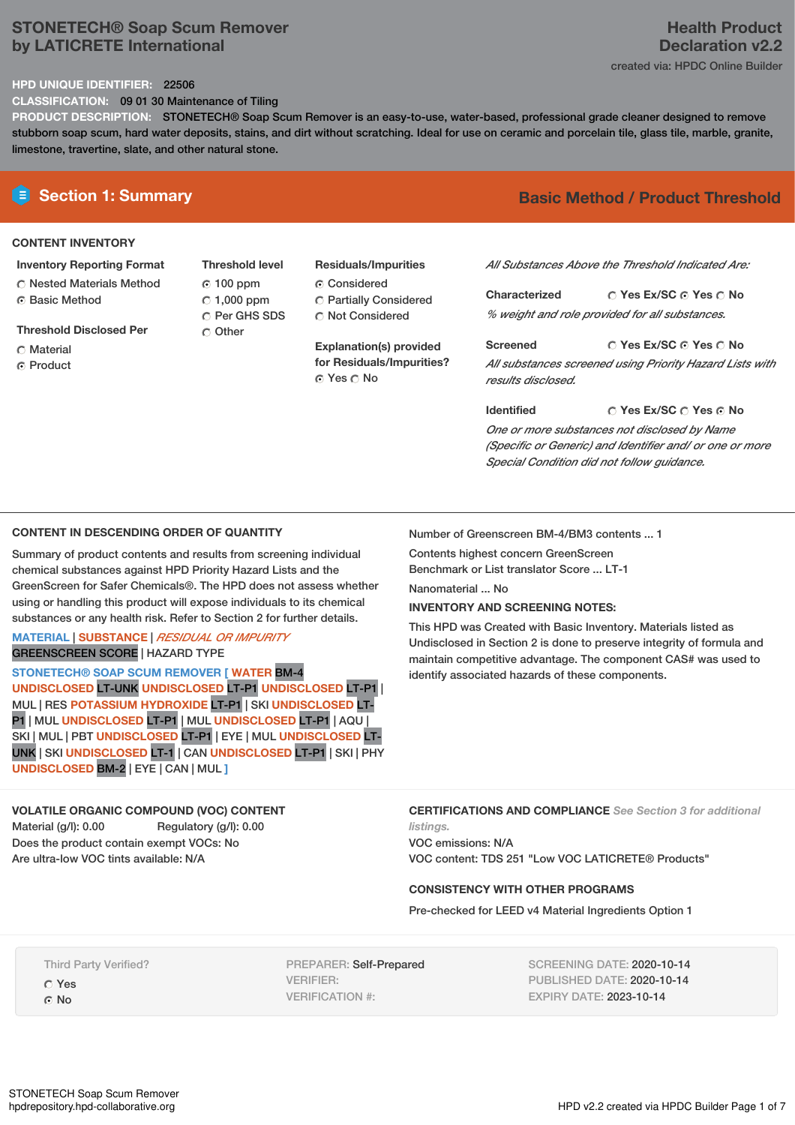# **STONETECH® Soap Scum Remover by LATICRETE International**

#### **HPD UNIQUE IDENTIFIER:** 22506

**CLASSIFICATION:** 09 01 30 Maintenance of Tiling

**PRODUCT DESCRIPTION:** STONETECH® Soap Scum Remover is an easy-to-use, water-based, professional grade cleaner designed to remove stubborn soap scum, hard water deposits, stains, and dirt without scratching. Ideal for use on ceramic and porcelain tile, glass tile, marble, granite, limestone, travertine, slate, and other natural stone.

#### **CONTENT INVENTORY**

#### **Inventory Reporting Format**

**C** Nested Materials Method ⊙ Basic Method

**Threshold Disclosed Per**

- C Material
- C Product

**Threshold level** 100 ppm  $\degree$  1,000 ppm C Per GHS SDS Other

# **Residuals/Impurities**

Considered Partially Considered C Not Considered

**Explanation(s) provided for Residuals/Impurities?** © Yes ○ No

# **E** Section 1: Summary **Basic** Method / Product Threshold

*All Substances Above the Threshold Indicated Are:*

**Yes Ex/SC Yes No Characterized** *% weight and role provided for all substances.*

**Yes Ex/SC Yes No Screened** *All substances screened using Priority Hazard Lists with results disclosed.*

**Yes Ex/SC Yes No Identified** *One or more substances not disclosed by Name (Specific or Generic) and Identifier and/ or one or more Special Condition did not follow guidance.*

## **CONTENT IN DESCENDING ORDER OF QUANTITY**

Summary of product contents and results from screening individual chemical substances against HPD Priority Hazard Lists and the GreenScreen for Safer Chemicals®. The HPD does not assess whether using or handling this product will expose individuals to its chemical substances or any health risk. Refer to Section 2 for further details.

## **MATERIAL** | **SUBSTANCE** | *RESIDUAL OR IMPURITY* GREENSCREEN SCORE | HAZARD TYPE

**STONETECH® SOAP SCUM REMOVER [ WATER** BM-4 **UNDISCLOSED** LT-UNK **UNDISCLOSED** LT-P1 **UNDISCLOSED** LT-P1 | MUL | RES **POTASSIUM HYDROXIDE** LT-P1 | SKI **UNDISCLOSED** LT-P1 | MUL **UNDISCLOSED** LT-P1 | MUL **UNDISCLOSED** LT-P1 | AQU | SKI | MUL | PBT **UNDISCLOSED** LT-P1 | EYE | MUL **UNDISCLOSED** LT-UNK | SKI **UNDISCLOSED** LT-1 | CAN **UNDISCLOSED** LT-P1 | SKI | PHY **UNDISCLOSED** BM-2 | EYE | CAN | MUL **]**

## **VOLATILE ORGANIC COMPOUND (VOC) CONTENT**

Material (g/l): 0.00 Regulatory (g/l): 0.00 Does the product contain exempt VOCs: No Are ultra-low VOC tints available: N/A

Number of Greenscreen BM-4/BM3 contents ... 1

Contents highest concern GreenScreen Benchmark or List translator Score ... LT-1

Nanomaterial ... No

#### **INVENTORY AND SCREENING NOTES:**

This HPD was Created with Basic Inventory. Materials listed as Undisclosed in Section 2 is done to preserve integrity of formula and maintain competitive advantage. The component CAS# was used to identify associated hazards of these components.

**CERTIFICATIONS AND COMPLIANCE** *See Section 3 for additional*

*listings.* VOC emissions: N/A VOC content: TDS 251 "Low VOC LATICRETE® Products"

#### **CONSISTENCY WITH OTHER PROGRAMS**

Pre-checked for LEED v4 Material Ingredients Option 1

Third Party Verified? Yes ⊙ No

PREPARER: Self-Prepared VERIFIER: VERIFICATION #:

SCREENING DATE: 2020-10-14 PUBLISHED DATE: 2020-10-14 EXPIRY DATE: 2023-10-14

# **Health Product Declaration v2.2**

created via: HPDC Online Builder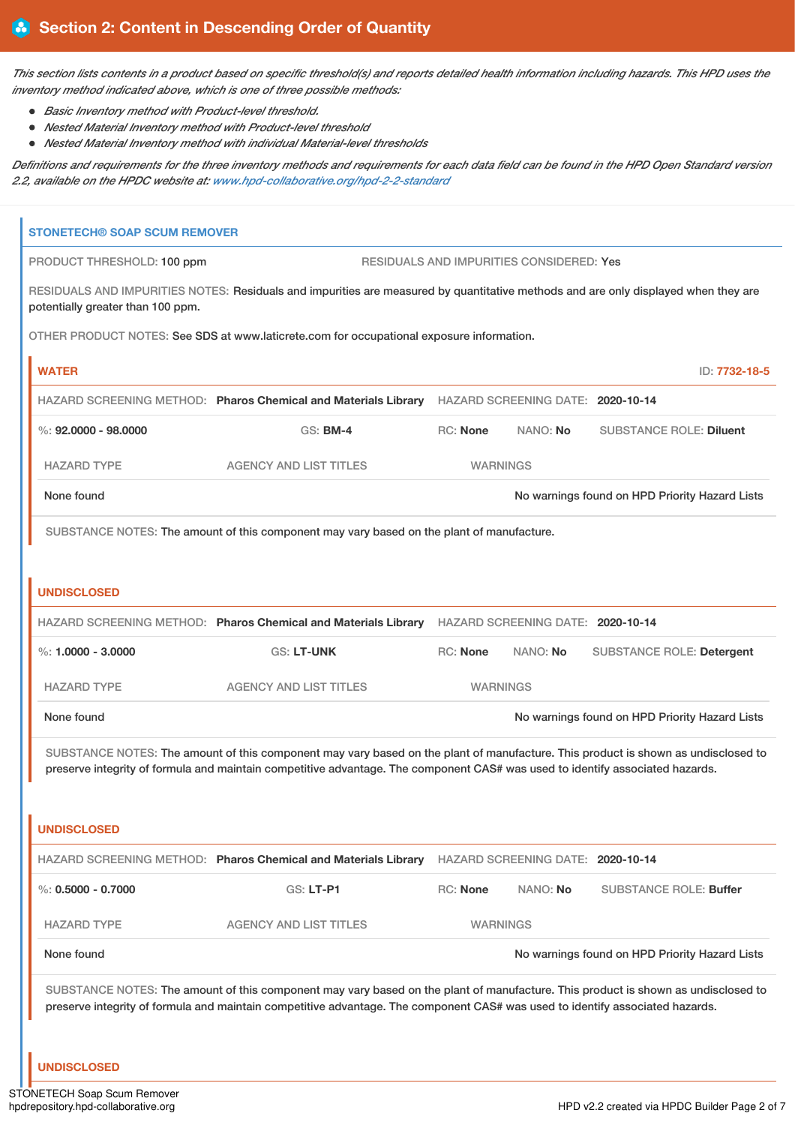This section lists contents in a product based on specific threshold(s) and reports detailed health information including hazards. This HPD uses the *inventory method indicated above, which is one of three possible methods:*

- *Basic Inventory method with Product-level threshold.*
- *Nested Material Inventory method with Product-level threshold*
- *Nested Material Inventory method with individual Material-level thresholds*

Definitions and requirements for the three inventory methods and requirements for each data field can be found in the HPD Open Standard version *2.2, available on the HPDC website at: [www.hpd-collaborative.org/hpd-2-2-standard](https://www.hpd-collaborative.org/hpd-2-2-standard)*

| <b>STONETECH® SOAP SCUM REMOVER</b> |                                                                                                                                                                                                                                                                    |                 |                                          |                                                |
|-------------------------------------|--------------------------------------------------------------------------------------------------------------------------------------------------------------------------------------------------------------------------------------------------------------------|-----------------|------------------------------------------|------------------------------------------------|
| PRODUCT THRESHOLD: 100 ppm          |                                                                                                                                                                                                                                                                    |                 | RESIDUALS AND IMPURITIES CONSIDERED: Yes |                                                |
| potentially greater than 100 ppm.   | RESIDUALS AND IMPURITIES NOTES: Residuals and impurities are measured by quantitative methods and are only displayed when they are                                                                                                                                 |                 |                                          |                                                |
|                                     | OTHER PRODUCT NOTES: See SDS at www.laticrete.com for occupational exposure information.                                                                                                                                                                           |                 |                                          |                                                |
| <b>WATER</b>                        |                                                                                                                                                                                                                                                                    |                 |                                          | ID: 7732-18-5                                  |
|                                     | HAZARD SCREENING METHOD: Pharos Chemical and Materials Library HAZARD SCREENING DATE: 2020-10-14                                                                                                                                                                   |                 |                                          |                                                |
| $\%$ : 92,0000 - 98,0000            | <b>GS: BM-4</b>                                                                                                                                                                                                                                                    | RC: None        | NANO: No                                 | <b>SUBSTANCE ROLE: Diluent</b>                 |
| <b>HAZARD TYPE</b>                  | <b>AGENCY AND LIST TITLES</b>                                                                                                                                                                                                                                      | <b>WARNINGS</b> |                                          |                                                |
| None found                          |                                                                                                                                                                                                                                                                    |                 |                                          | No warnings found on HPD Priority Hazard Lists |
|                                     | SUBSTANCE NOTES: The amount of this component may vary based on the plant of manufacture.                                                                                                                                                                          |                 |                                          |                                                |
|                                     |                                                                                                                                                                                                                                                                    |                 |                                          |                                                |
| <b>UNDISCLOSED</b>                  |                                                                                                                                                                                                                                                                    |                 |                                          |                                                |
|                                     | HAZARD SCREENING METHOD: Pharos Chemical and Materials Library HAZARD SCREENING DATE: 2020-10-14                                                                                                                                                                   |                 |                                          |                                                |
| %: $1,0000 - 3,0000$                | GS: LT-UNK                                                                                                                                                                                                                                                         | RC: None        | NANO: No                                 | <b>SUBSTANCE ROLE: Detergent</b>               |
| <b>HAZARD TYPE</b>                  | <b>AGENCY AND LIST TITLES</b>                                                                                                                                                                                                                                      | <b>WARNINGS</b> |                                          |                                                |
| None found                          |                                                                                                                                                                                                                                                                    |                 |                                          | No warnings found on HPD Priority Hazard Lists |
|                                     | SUBSTANCE NOTES: The amount of this component may vary based on the plant of manufacture. This product is shown as undisclosed to                                                                                                                                  |                 |                                          |                                                |
|                                     | preserve integrity of formula and maintain competitive advantage. The component CAS# was used to identify associated hazards.                                                                                                                                      |                 |                                          |                                                |
|                                     |                                                                                                                                                                                                                                                                    |                 |                                          |                                                |
| <b>UNDISCLOSED</b>                  |                                                                                                                                                                                                                                                                    |                 |                                          |                                                |
|                                     | HAZARD SCREENING METHOD: Pharos Chemical and Materials Library                                                                                                                                                                                                     |                 | HAZARD SCREENING DATE: 2020-10-14        |                                                |
| %: $0.5000 - 0.7000$                | <b>GS: LT-P1</b>                                                                                                                                                                                                                                                   | RC: None        | NANO: No                                 | <b>SUBSTANCE ROLE: Buffer</b>                  |
| <b>HAZARD TYPE</b>                  | <b>AGENCY AND LIST TITLES</b>                                                                                                                                                                                                                                      | <b>WARNINGS</b> |                                          |                                                |
| None found                          |                                                                                                                                                                                                                                                                    |                 |                                          | No warnings found on HPD Priority Hazard Lists |
|                                     | SUBSTANCE NOTES: The amount of this component may vary based on the plant of manufacture. This product is shown as undisclosed to<br>preserve integrity of formula and maintain competitive advantage. The component CAS# was used to identify associated hazards. |                 |                                          |                                                |
| <b>UNDISCLOSED</b>                  |                                                                                                                                                                                                                                                                    |                 |                                          |                                                |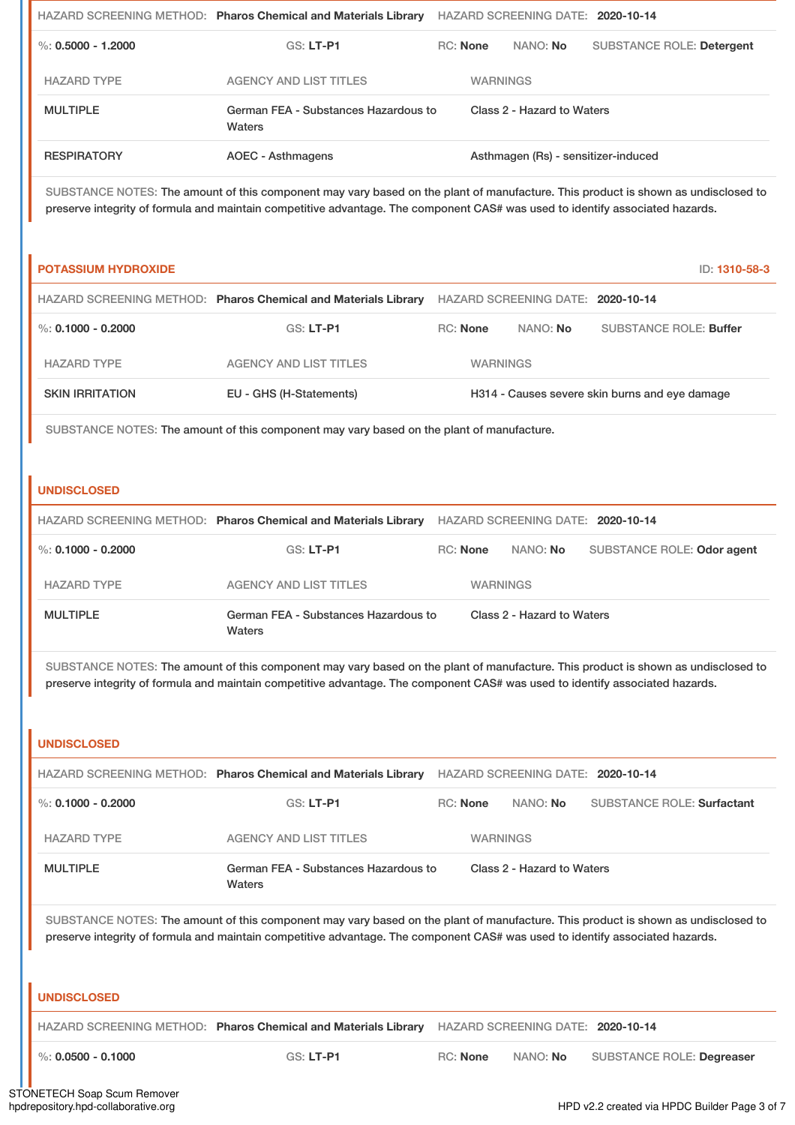|                      | HAZARD SCREENING METHOD: Pharos Chemical and Materials Library | HAZARD SCREENING DATE: 2020-10-14 |                            |          |                                     |
|----------------------|----------------------------------------------------------------|-----------------------------------|----------------------------|----------|-------------------------------------|
| %: $0.5000 - 1.2000$ | $GS: LT-PI$                                                    | <b>RC:</b> None                   |                            | NANO: No | <b>SUBSTANCE ROLE: Detergent</b>    |
| <b>HAZARD TYPE</b>   | AGENCY AND LIST TITLES                                         |                                   | <b>WARNINGS</b>            |          |                                     |
| <b>MULTIPLE</b>      | German FEA - Substances Hazardous to<br>Waters                 |                                   | Class 2 - Hazard to Waters |          |                                     |
| <b>RESPIRATORY</b>   | AOEC - Asthmagens                                              |                                   |                            |          | Asthmagen (Rs) - sensitizer-induced |

SUBSTANCE NOTES: The amount of this component may vary based on the plant of manufacture. This product is shown as undisclosed to preserve integrity of formula and maintain competitive advantage. The component CAS# was used to identify associated hazards.

| <b>POTASSIUM HYDROXIDE</b> |                                                                |                 |                                   | ID: 1310-58-3                                  |
|----------------------------|----------------------------------------------------------------|-----------------|-----------------------------------|------------------------------------------------|
|                            | HAZARD SCREENING METHOD: Pharos Chemical and Materials Library |                 | HAZARD SCREENING DATE: 2020-10-14 |                                                |
| %: 0.1000 - 0.2000         | $GS: LT-P1$                                                    | <b>RC:</b> None | NANO: <b>No</b>                   | <b>SUBSTANCE ROLE: Buffer</b>                  |
| <b>HAZARD TYPE</b>         | AGENCY AND LIST TITLES                                         | <b>WARNINGS</b> |                                   |                                                |
| <b>SKIN IRRITATION</b>     | EU - GHS (H-Statements)                                        |                 |                                   | H314 - Causes severe skin burns and eye damage |

SUBSTANCE NOTES: The amount of this component may vary based on the plant of manufacture.

## **UNDISCLOSED**

|                    | HAZARD SCREENING METHOD: Pharos Chemical and Materials Library | HAZARD SCREENING DATE: 2020-10-14 |                 |                            |  |
|--------------------|----------------------------------------------------------------|-----------------------------------|-----------------|----------------------------|--|
| %: 0.1000 - 0.2000 | GS: LT-P1                                                      | <b>RC:</b> None                   | NANO: No        | SUBSTANCE ROLE: Odor agent |  |
| <b>HAZARD TYPE</b> | AGENCY AND LIST TITLES                                         |                                   | <b>WARNINGS</b> |                            |  |
| <b>MULTIPLE</b>    | German FEA - Substances Hazardous to<br>Waters                 | Class 2 - Hazard to Waters        |                 |                            |  |

SUBSTANCE NOTES: The amount of this component may vary based on the plant of manufacture. This product is shown as undisclosed to preserve integrity of formula and maintain competitive advantage. The component CAS# was used to identify associated hazards.

### **UNDISCLOSED**

|                    | HAZARD SCREENING METHOD: Pharos Chemical and Materials Library | HAZARD SCREENING DATE: 2020-10-14  |                 |                                   |  |
|--------------------|----------------------------------------------------------------|------------------------------------|-----------------|-----------------------------------|--|
| %: 0.1000 - 0.2000 | $GS: LT-PI$                                                    | NANO: <b>No</b><br><b>RC:</b> None |                 | <b>SUBSTANCE ROLE: Surfactant</b> |  |
| <b>HAZARD TYPE</b> | AGENCY AND LIST TITLES                                         |                                    | <b>WARNINGS</b> |                                   |  |
| <b>MULTIPLE</b>    | German FEA - Substances Hazardous to<br>Waters                 | Class 2 - Hazard to Waters         |                 |                                   |  |

SUBSTANCE NOTES: The amount of this component may vary based on the plant of manufacture. This product is shown as undisclosed to preserve integrity of formula and maintain competitive advantage. The component CAS# was used to identify associated hazards.

#### **UNDISCLOSED**

HAZARD SCREENING METHOD: **Pharos Chemical and Materials Library** HAZARD SCREENING DATE: **2020-10-14**

%: **0.0500 - 0.1000** GS: **LT-P1** RC: **None** NANO: **No** SUBSTANCE ROLE: **Degreaser**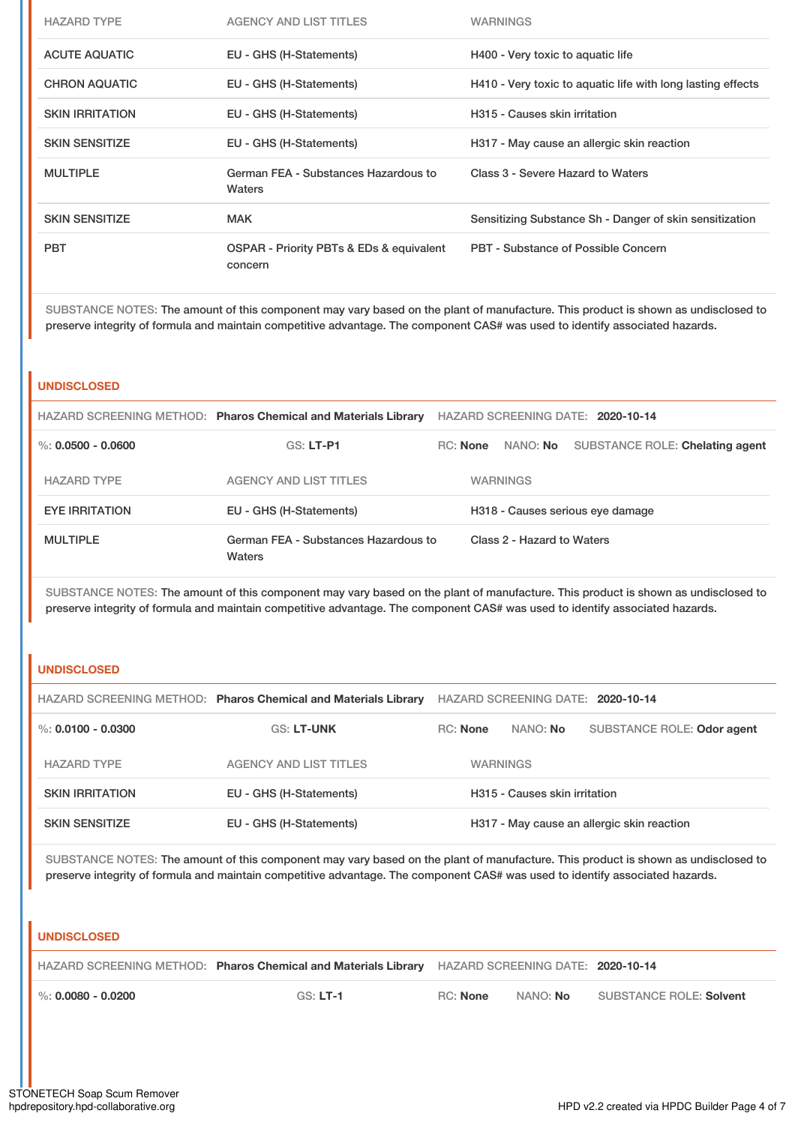| <b>HAZARD TYPE</b>     | AGENCY AND LIST TITLES                              | <b>WARNINGS</b>                                             |
|------------------------|-----------------------------------------------------|-------------------------------------------------------------|
| <b>ACUTE AQUATIC</b>   | EU - GHS (H-Statements)                             | H400 - Very toxic to aquatic life                           |
| <b>CHRON AQUATIC</b>   | EU - GHS (H-Statements)                             | H410 - Very toxic to aquatic life with long lasting effects |
| <b>SKIN IRRITATION</b> | EU - GHS (H-Statements)                             | H315 - Causes skin irritation                               |
| <b>SKIN SENSITIZE</b>  | EU - GHS (H-Statements)                             | H317 - May cause an allergic skin reaction                  |
| <b>MULTIPLE</b>        | German FEA - Substances Hazardous to<br>Waters      | Class 3 - Severe Hazard to Waters                           |
| <b>SKIN SENSITIZE</b>  | <b>MAK</b>                                          | Sensitizing Substance Sh - Danger of skin sensitization     |
| <b>PBT</b>             | OSPAR - Priority PBTs & EDs & equivalent<br>concern | <b>PBT - Substance of Possible Concern</b>                  |

SUBSTANCE NOTES: The amount of this component may vary based on the plant of manufacture. This product is shown as undisclosed to preserve integrity of formula and maintain competitive advantage. The component CAS# was used to identify associated hazards.

#### **UNDISCLOSED**

|                        | HAZARD SCREENING METHOD: Pharos Chemical and Materials Library | HAZARD SCREENING DATE: 2020-10-14 |  |                 |                                 |  |
|------------------------|----------------------------------------------------------------|-----------------------------------|--|-----------------|---------------------------------|--|
| $\%$ : 0.0500 - 0.0600 | $GS: LT-PI$                                                    | <b>RC:</b> None                   |  | NANO: No        | SUBSTANCE ROLE: Chelating agent |  |
| <b>HAZARD TYPE</b>     | AGENCY AND LIST TITLES                                         |                                   |  | <b>WARNINGS</b> |                                 |  |
| <b>EYE IRRITATION</b>  | EU - GHS (H-Statements)                                        | H318 - Causes serious eye damage  |  |                 |                                 |  |
| <b>MULTIPLE</b>        | German FEA - Substances Hazardous to<br>Waters                 | Class 2 - Hazard to Waters        |  |                 |                                 |  |

SUBSTANCE NOTES: The amount of this component may vary based on the plant of manufacture. This product is shown as undisclosed to preserve integrity of formula and maintain competitive advantage. The component CAS# was used to identify associated hazards.

## **UNDISCLOSED**

|                        | HAZARD SCREENING METHOD: Pharos Chemical and Materials Library | HAZARD SCREENING DATE: 2020-10-14          |  |                            |  |  |
|------------------------|----------------------------------------------------------------|--------------------------------------------|--|----------------------------|--|--|
| %: $0.0100 - 0.0300$   | <b>GS: LT-UNK</b>                                              | <b>RC:</b> None<br>NANO: No                |  | SUBSTANCE ROLE: Odor agent |  |  |
| <b>HAZARD TYPE</b>     | <b>AGENCY AND LIST TITLES</b>                                  | <b>WARNINGS</b>                            |  |                            |  |  |
| <b>SKIN IRRITATION</b> | EU - GHS (H-Statements)                                        | H315 - Causes skin irritation              |  |                            |  |  |
| <b>SKIN SENSITIZE</b>  | EU - GHS (H-Statements)                                        | H317 - May cause an allergic skin reaction |  |                            |  |  |

SUBSTANCE NOTES: The amount of this component may vary based on the plant of manufacture. This product is shown as undisclosed to preserve integrity of formula and maintain competitive advantage. The component CAS# was used to identify associated hazards.

### **UNDISCLOSED**

|                        | HAZARD SCREENING METHOD: Pharos Chemical and Materials Library HAZARD SCREENING DATE: 2020-10-14 |          |                 |                                |
|------------------------|--------------------------------------------------------------------------------------------------|----------|-----------------|--------------------------------|
| $\%$ : 0.0080 - 0.0200 | $GS: LT-1$                                                                                       | RC: None | NANO: <b>No</b> | <b>SUBSTANCE ROLE: Solvent</b> |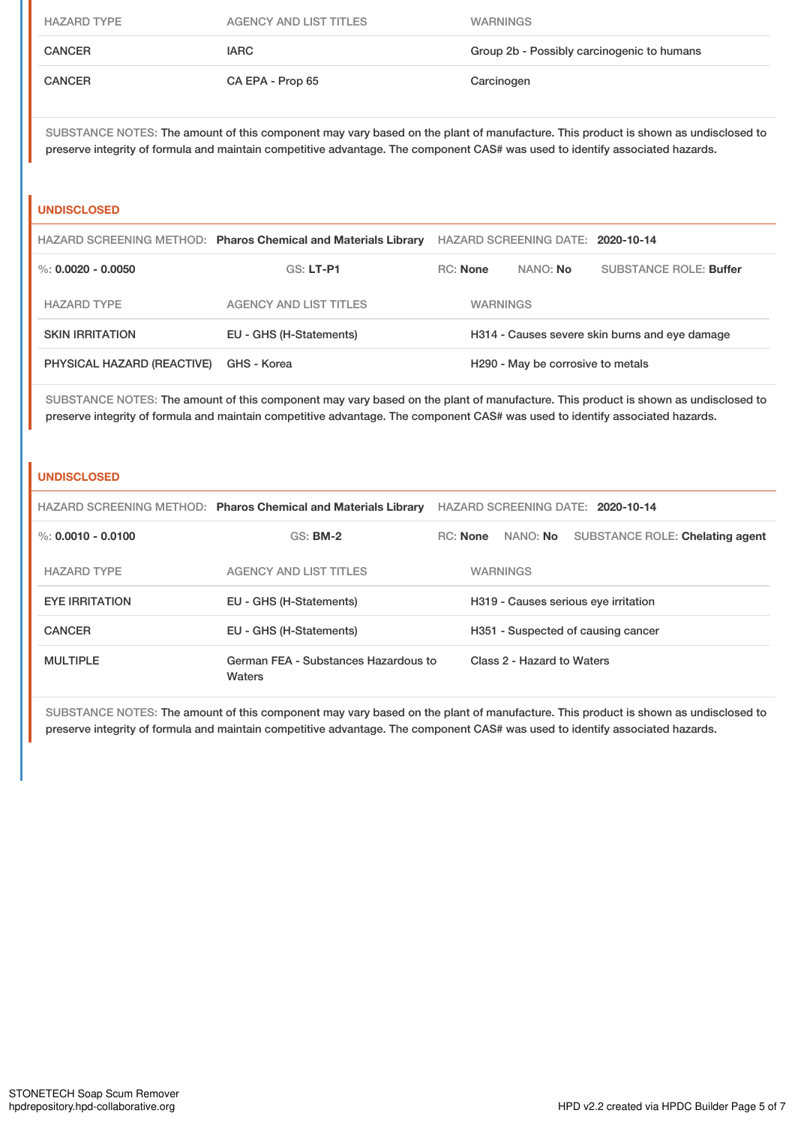| <b>HAZARD TYPE</b> | AGENCY AND LIST TITLES | <b>WARNINGS</b>                            |
|--------------------|------------------------|--------------------------------------------|
| <b>CANCER</b>      | <b>IARC</b>            | Group 2b - Possibly carcinogenic to humans |
| <b>CANCER</b>      | CA EPA - Prop 65       | Carcinogen                                 |

SUBSTANCE NOTES: The amount of this component may vary based on the plant of manufacture. This product is shown as undisclosed to preserve integrity of formula and maintain competitive advantage. The component CAS# was used to identify associated hazards.

#### **UNDISCLOSED**

|                            | HAZARD SCREENING METHOD: Pharos Chemical and Materials Library | HAZARD SCREENING DATE: 2020-10-14              |  |                               |  |
|----------------------------|----------------------------------------------------------------|------------------------------------------------|--|-------------------------------|--|
| %: $0.0020 - 0.0050$       | $GS: LT-PI$                                                    | <b>RC:</b> None<br>NANO: No                    |  | <b>SUBSTANCE ROLE: Buffer</b> |  |
| <b>HAZARD TYPE</b>         | AGENCY AND LIST TITLES                                         | <b>WARNINGS</b>                                |  |                               |  |
| <b>SKIN IRRITATION</b>     | EU - GHS (H-Statements)                                        | H314 - Causes severe skin burns and eye damage |  |                               |  |
| PHYSICAL HAZARD (REACTIVE) | GHS - Korea                                                    | H <sub>290</sub> - May be corrosive to metals  |  |                               |  |

SUBSTANCE NOTES: The amount of this component may vary based on the plant of manufacture. This product is shown as undisclosed to preserve integrity of formula and maintain competitive advantage. The component CAS# was used to identify associated hazards.

#### **UNDISCLOSED**

|                       | HAZARD SCREENING METHOD: Pharos Chemical and Materials Library | HAZARD SCREENING DATE: 2020-10-14    |  |                            |                                 |  |
|-----------------------|----------------------------------------------------------------|--------------------------------------|--|----------------------------|---------------------------------|--|
| %: $0.0010 - 0.0100$  | $GS:$ BM-2                                                     | RC: None                             |  | NANO: <b>No</b>            | SUBSTANCE ROLE: Chelating agent |  |
| <b>HAZARD TYPE</b>    | <b>AGENCY AND LIST TITLES</b>                                  |                                      |  | <b>WARNINGS</b>            |                                 |  |
| <b>EYE IRRITATION</b> | EU - GHS (H-Statements)                                        | H319 - Causes serious eye irritation |  |                            |                                 |  |
| <b>CANCER</b>         | EU - GHS (H-Statements)                                        | H351 - Suspected of causing cancer   |  |                            |                                 |  |
| <b>MULTIPLE</b>       | German FEA - Substances Hazardous to<br>Waters                 |                                      |  | Class 2 - Hazard to Waters |                                 |  |

SUBSTANCE NOTES: The amount of this component may vary based on the plant of manufacture. This product is shown as undisclosed to preserve integrity of formula and maintain competitive advantage. The component CAS# was used to identify associated hazards.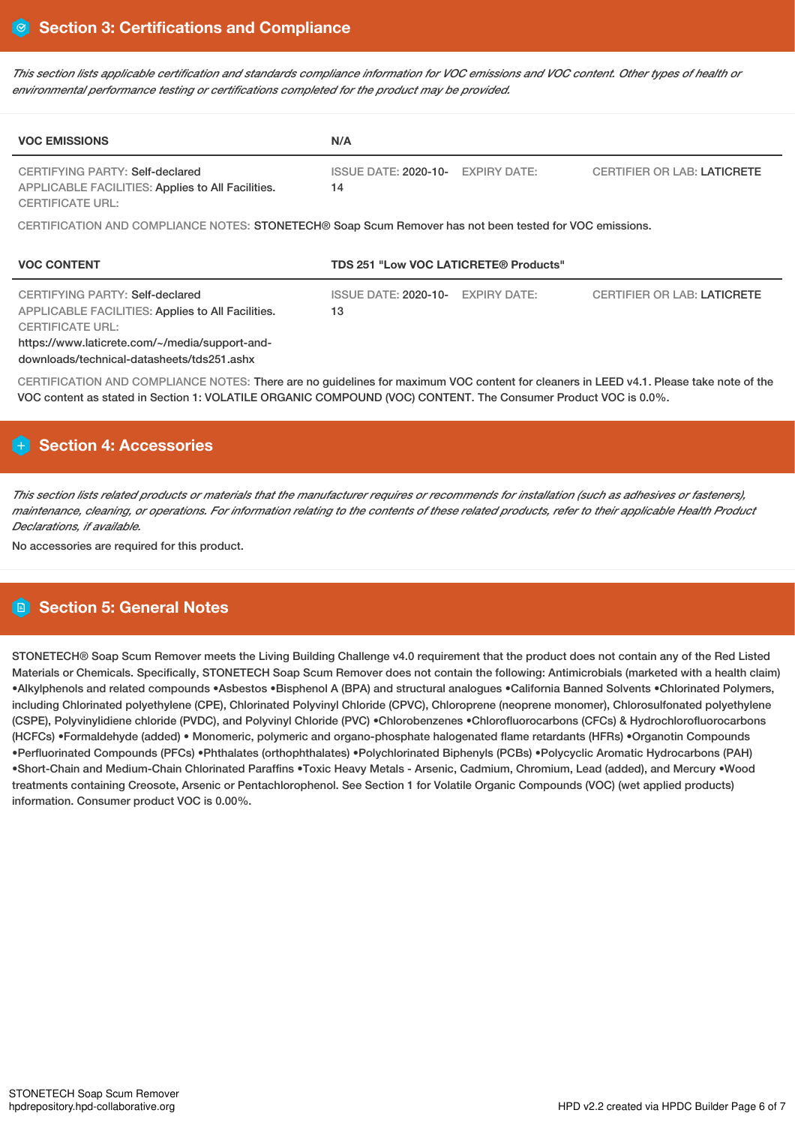This section lists applicable certification and standards compliance information for VOC emissions and VOC content. Other types of health or *environmental performance testing or certifications completed for the product may be provided.*

| <b>VOC EMISSIONS</b>                                                                                                                                                                                            | N/A                                                      |                                    |
|-----------------------------------------------------------------------------------------------------------------------------------------------------------------------------------------------------------------|----------------------------------------------------------|------------------------------------|
| CERTIFYING PARTY: Self-declared<br>APPLICABLE FACILITIES: Applies to All Facilities.<br><b>CERTIFICATE URL:</b>                                                                                                 | <b>ISSUE DATE: 2020-10-</b><br><b>EXPIRY DATE:</b><br>14 | <b>CERTIFIER OR LAB: LATICRETE</b> |
| CERTIFICATION AND COMPLIANCE NOTES: STONETECH® Soap Scum Remover has not been tested for VOC emissions.                                                                                                         |                                                          |                                    |
| <b>VOC CONTENT</b>                                                                                                                                                                                              | TDS 251 "Low VOC LATICRETE® Products"                    |                                    |
| CERTIFYING PARTY: Self-declared<br>APPLICABLE FACILITIES: Applies to All Facilities.<br><b>CERTIFICATE URL:</b><br>https://www.laticrete.com/~/media/support-and-<br>downloads/technical-datasheets/tds251.ashx | <b>ISSUE DATE: 2020-10-</b><br><b>EXPIRY DATE:</b><br>13 | <b>CERTIFIER OR LAB: LATICRETE</b> |
| CERTIFICATION AND COMPLIANCE NOTES: There are no guidelines for maximum VOC content for cleaners in LEED v4.1. Please take note of the                                                                          |                                                          |                                    |

# **Section 4: Accessories**

This section lists related products or materials that the manufacturer requires or recommends for installation (such as adhesives or fasteners), maintenance, cleaning, or operations. For information relating to the contents of these related products, refer to their applicable Health Product *Declarations, if available.*

No accessories are required for this product.

# **Section 5: General Notes**

STONETECH® Soap Scum Remover meets the Living Building Challenge v4.0 requirement that the product does not contain any of the Red Listed Materials or Chemicals. Specifically, STONETECH Soap Scum Remover does not contain the following: Antimicrobials (marketed with a health claim) •Alkylphenols and related compounds •Asbestos •Bisphenol A (BPA) and structural analogues •California Banned Solvents •Chlorinated Polymers, including Chlorinated polyethylene (CPE), Chlorinated Polyvinyl Chloride (CPVC), Chloroprene (neoprene monomer), Chlorosulfonated polyethylene (CSPE), Polyvinylidiene chloride (PVDC), and Polyvinyl Chloride (PVC) •Chlorobenzenes •Chlorofluorocarbons (CFCs) & Hydrochlorofluorocarbons (HCFCs) •Formaldehyde (added) • Monomeric, polymeric and organo-phosphate halogenated flame retardants (HFRs) •Organotin Compounds •Perfluorinated Compounds (PFCs) •Phthalates (orthophthalates) •Polychlorinated Biphenyls (PCBs) •Polycyclic Aromatic Hydrocarbons (PAH) •Short-Chain and Medium-Chain Chlorinated Paraffins •Toxic Heavy Metals - Arsenic, Cadmium, Chromium, Lead (added), and Mercury •Wood treatments containing Creosote, Arsenic or Pentachlorophenol. See Section 1 for Volatile Organic Compounds (VOC) (wet applied products) information. Consumer product VOC is 0.00%.